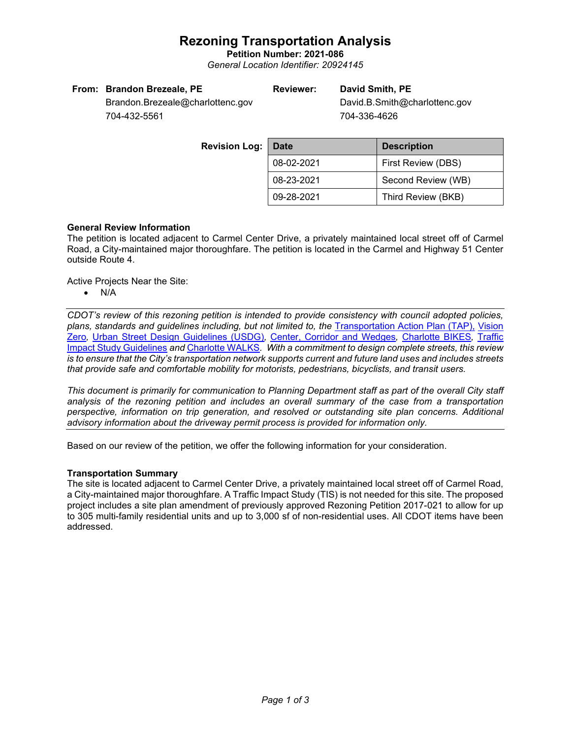## **Rezoning Transportation Analysis**

**Petition Number: 2021-086** *General Location Identifier: 20924145*

### **Reviewer: David Smith, PE**

David.B.Smith@charlottenc.gov 704-336-4626

Brandon.Brezeale@charlottenc.gov 704-432-5561

| <b>Revision Log:</b> | Date       | <b>Description</b> |  |  |
|----------------------|------------|--------------------|--|--|
|                      | 08-02-2021 | First Review (DBS) |  |  |
|                      | 08-23-2021 | Second Review (WB) |  |  |
|                      | 09-28-2021 | Third Review (BKB) |  |  |

### **General Review Information**

The petition is located adjacent to Carmel Center Drive, a privately maintained local street off of Carmel Road, a City-maintained major thoroughfare. The petition is located in the Carmel and Highway 51 Center outside Route 4.

Active Projects Near the Site:

• N/A

*CDOT's review of this rezoning petition is intended to provide consistency with council adopted policies, plans, standards and guidelines including, but not limited to, the* [Transportation Action Plan \(TAP\),](https://charlottenc.gov/Transportation/Programs/Pages/TransportationActionPlan.aspx) [Vision](https://charlottenc.gov/VisionZero/Pages/VisionZero.aspx)  [Zero](https://charlottenc.gov/VisionZero/Pages/VisionZero.aspx)*,* [Urban Street Design Guidelines \(USDG\)](https://charlottenc.gov/Transportation/PlansProjects/Documents/USDG%20Full%20Document.pdf)*,* [Center, Corridor and Wedges](http://ww.charmeck.org/Planning/Land%20Use%20Planning/CentersCorridorsWedges/CentersCorridorsWedges(Adopted).pdf)*,* [Charlotte BIKES](https://charlottenc.gov/Transportation/Programs/Pages/Bicycle.aspx)*,* [Traffic](https://charlottenc.gov/Transportation/Permits/Documents/TISProcessandGuildlines.pdf)  [Impact Study Guidelines](https://charlottenc.gov/Transportation/Permits/Documents/TISProcessandGuildlines.pdf) *and* [Charlotte WALKS](https://charlottenc.gov/Transportation/Programs/Pages/CharlotteWalks.aspx)*. With a commitment to design complete streets, this review is to ensure that the City's transportation network supports current and future land uses and includes streets that provide safe and comfortable mobility for motorists, pedestrians, bicyclists, and transit users.*

*This document is primarily for communication to Planning Department staff as part of the overall City staff analysis of the rezoning petition and includes an overall summary of the case from a transportation perspective, information on trip generation, and resolved or outstanding site plan concerns. Additional advisory information about the driveway permit process is provided for information only.*

Based on our review of the petition, we offer the following information for your consideration.

### **Transportation Summary**

The site is located adjacent to Carmel Center Drive, a privately maintained local street off of Carmel Road, a City-maintained major thoroughfare. A Traffic Impact Study (TIS) is not needed for this site. The proposed project includes a site plan amendment of previously approved Rezoning Petition 2017-021 to allow for up to 305 multi-family residential units and up to 3,000 sf of non-residential uses. All CDOT items have been addressed.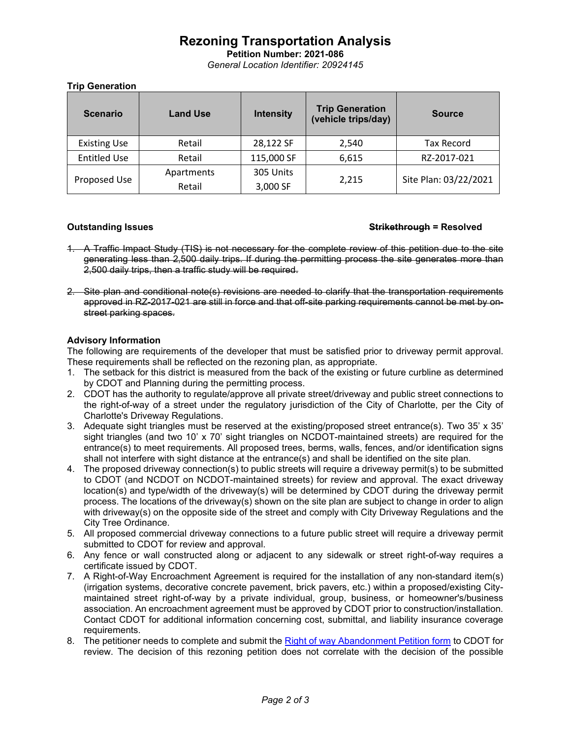# **Rezoning Transportation Analysis**

**Petition Number: 2021-086** *General Location Identifier: 20924145*

### **Trip Generation**

| <b>Scenario</b>     | <b>Land Use</b>      | <b>Intensity</b>      | <b>Trip Generation</b><br>(vehicle trips/day) | <b>Source</b>         |
|---------------------|----------------------|-----------------------|-----------------------------------------------|-----------------------|
| <b>Existing Use</b> | Retail               | 28,122 SF             | 2,540                                         | <b>Tax Record</b>     |
| <b>Entitled Use</b> | Retail               | 115,000 SF            | 6,615                                         | RZ-2017-021           |
| Proposed Use        | Apartments<br>Retail | 305 Units<br>3,000 SF | 2,215                                         | Site Plan: 03/22/2021 |

#### **Outstanding Issues Strikethrough = Resolved**

- 1. A Traffic Impact Study (TIS) is not necessary for the complete review of this petition due to the site generating less than 2,500 daily trips. If during the permitting process the site generates more than 2,500 daily trips, then a traffic study will be required.
- 2. Site plan and conditional note(s) revisions are needed to clarify that the transportation requirements approved in RZ-2017-021 are still in force and that off-site parking requirements cannot be met by onstreet parking spaces.

### **Advisory Information**

The following are requirements of the developer that must be satisfied prior to driveway permit approval. These requirements shall be reflected on the rezoning plan, as appropriate.

- 1. The setback for this district is measured from the back of the existing or future curbline as determined by CDOT and Planning during the permitting process.
- 2. CDOT has the authority to regulate/approve all private street/driveway and public street connections to the right-of-way of a street under the regulatory jurisdiction of the City of Charlotte, per the City of Charlotte's Driveway Regulations.
- 3. Adequate sight triangles must be reserved at the existing/proposed street entrance(s). Two 35' x 35' sight triangles (and two 10' x 70' sight triangles on NCDOT-maintained streets) are required for the entrance(s) to meet requirements. All proposed trees, berms, walls, fences, and/or identification signs shall not interfere with sight distance at the entrance(s) and shall be identified on the site plan.
- 4. The proposed driveway connection(s) to public streets will require a driveway permit(s) to be submitted to CDOT (and NCDOT on NCDOT-maintained streets) for review and approval. The exact driveway location(s) and type/width of the driveway(s) will be determined by CDOT during the driveway permit process. The locations of the driveway(s) shown on the site plan are subject to change in order to align with driveway(s) on the opposite side of the street and comply with City Driveway Regulations and the City Tree Ordinance.
- 5. All proposed commercial driveway connections to a future public street will require a driveway permit submitted to CDOT for review and approval.
- 6. Any fence or wall constructed along or adjacent to any sidewalk or street right-of-way requires a certificate issued by CDOT.
- 7. A Right-of-Way Encroachment Agreement is required for the installation of any non-standard item(s) (irrigation systems, decorative concrete pavement, brick pavers, etc.) within a proposed/existing Citymaintained street right-of-way by a private individual, group, business, or homeowner's/business association. An encroachment agreement must be approved by CDOT prior to construction/installation. Contact CDOT for additional information concerning cost, submittal, and liability insurance coverage requirements.
- 8. The petitioner needs to complete and submit the [Right of way Abandonment Petition form](https://charlottenc.gov/Transportation/Permits/Pages/RightofWayAbandonment.aspx) to CDOT for review. The decision of this rezoning petition does not correlate with the decision of the possible